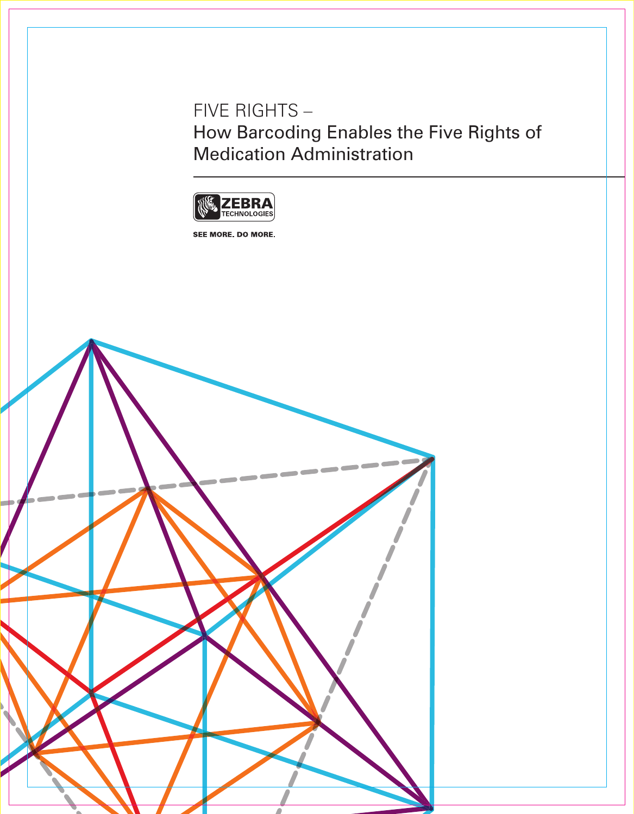Five Rights – How Barcoding Enables the Five Rights of Medication Administration



SEE MORE. DO MORE.

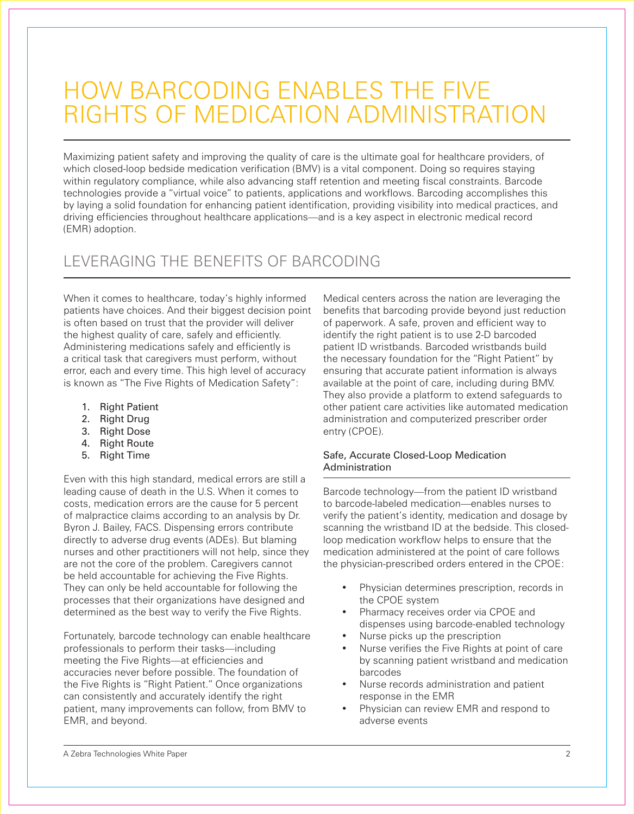# How Barcoding Enables the Five Rights of Medication Administration

Maximizing patient safety and improving the quality of care is the ultimate goal for healthcare providers, of which closed-loop bedside medication verification (BMV) is a vital component. Doing so requires staying within regulatory compliance, while also advancing staff retention and meeting fiscal constraints. Barcode technologies provide a "virtual voice" to patients, applications and workflows. Barcoding accomplishes this by laying a solid foundation for enhancing patient identification, providing visibility into medical practices, and driving efficiencies throughout healthcare applications—and is a key aspect in electronic medical record (EMR) adoption.

## Leveraging the Benefits of Barcoding

When it comes to healthcare, today's highly informed patients have choices. And their biggest decision point is often based on trust that the provider will deliver the highest quality of care, safely and efficiently. Administering medications safely and efficiently is a critical task that caregivers must perform, without error, each and every time. This high level of accuracy is known as "The Five Rights of Medication Safety":

- 1. Right Patient
- 2. Right Drug
- 3. Right Dose
- 4. Right Route
- 5. Right Time

Even with this high standard, medical errors are still a leading cause of death in the U.S. When it comes to costs, medication errors are the cause for 5 percent of malpractice claims according to an analysis by Dr. Byron J. Bailey, FACS. Dispensing errors contribute directly to adverse drug events (ADEs). But blaming nurses and other practitioners will not help, since they are not the core of the problem. Caregivers cannot be held accountable for achieving the Five Rights. They can only be held accountable for following the processes that their organizations have designed and determined as the best way to verify the Five Rights.

Fortunately, barcode technology can enable healthcare professionals to perform their tasks—including meeting the Five Rights—at efficiencies and accuracies never before possible. The foundation of the Five Rights is "Right Patient." Once organizations can consistently and accurately identify the right patient, many improvements can follow, from BMV to EMR, and beyond.

Medical centers across the nation are leveraging the benefits that barcoding provide beyond just reduction of paperwork. A safe, proven and efficient way to identify the right patient is to use 2-D barcoded patient ID wristbands. Barcoded wristbands build the necessary foundation for the "Right Patient" by ensuring that accurate patient information is always available at the point of care, including during BMV. They also provide a platform to extend safeguards to other patient care activities like automated medication administration and computerized prescriber order entry (CPOE).

#### Safe, Accurate Closed-Loop Medication **Administration**

Barcode technology—from the patient ID wristband to barcode-labeled medication—enables nurses to verify the patient's identity, medication and dosage by scanning the wristband ID at the bedside. This closedloop medication workflow helps to ensure that the medication administered at the point of care follows the physician-prescribed orders entered in the CPOE:

- Physician determines prescription, records in the CPOE system
- Pharmacy receives order via CPOE and dispenses using barcode-enabled technology
- Nurse picks up the prescription
- Nurse verifies the Five Rights at point of care by scanning patient wristband and medication barcodes
- Nurse records administration and patient response in the EMR
- Physician can review EMR and respond to adverse events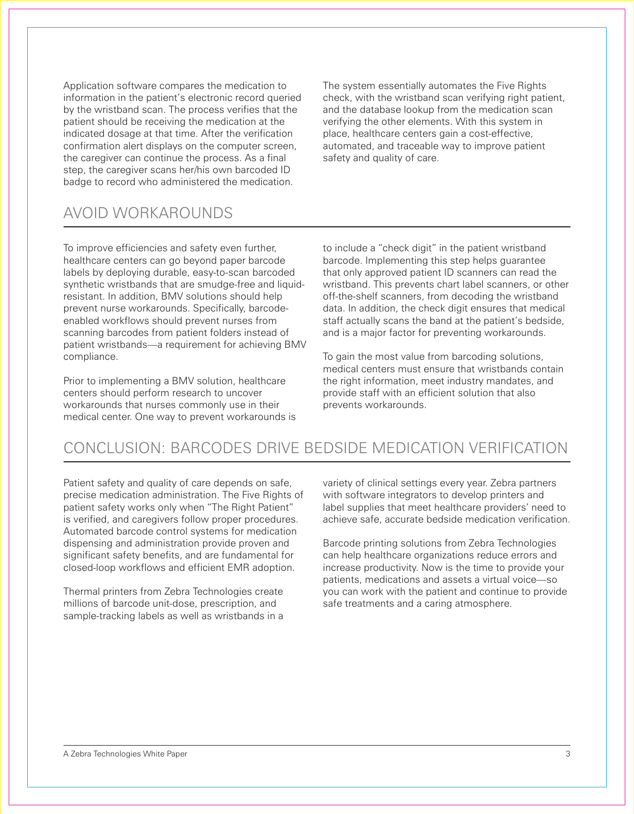Application software compares the medication to information in the patient's electronic record queried by the wristband scan. The process verifies that the patient should be receiving the medication at the indicated dosage at that time. After the verification confirmation alert displays on the computer screen, the caregiver can continue the process. As a final step, the caregiver scans her/his own barcoded ID badge to record who administered the medication.

The system essentially automates the Five Rights check, with the wristband scan verifying right patient, and the database lookup from the medication scan verifying the other elements. With this system in place, healthcare centers gain a cost-effective, automated, and traceable way to improve patient safety and quality of care.

### Avoid Workarounds

To improve efficiencies and safety even further, healthcare centers can go beyond paper barcode labels by deploying durable, easy-to-scan barcoded synthetic wristbands that are smudge-free and liquidresistant. In addition, BMV solutions should help prevent nurse workarounds. Specifically, barcodeenabled workflows should prevent nurses from scanning barcodes from patient folders instead of patient wristbands—a requirement for achieving BMV compliance.

Prior to implementing a BMV solution, healthcare centers should perform research to uncover workarounds that nurses commonly use in their medical center. One way to prevent workarounds is

to include a "check digit" in the patient wristband barcode. Implementing this step helps guarantee that only approved patient ID scanners can read the wristband. This prevents chart label scanners, or other off-the-shelf scanners, from decoding the wristband data. In addition, the check digit ensures that medical staff actually scans the band at the patient's bedside, and is a major factor for preventing workarounds.

To gain the most value from barcoding solutions, medical centers must ensure that wristbands contain the right information, meet industry mandates, and provide staff with an efficient solution that also prevents workarounds.

### Conclusion: Barcodes Drive Bedside Medication Verification

Patient safety and quality of care depends on safe, precise medication administration. The Five Rights of patient safety works only when "The Right Patient" is verified, and caregivers follow proper procedures. Automated barcode control systems for medication dispensing and administration provide proven and significant safety benefits, and are fundamental for closed-loop workflows and efficient EMR adoption.

Thermal printers from Zebra Technologies create millions of barcode unit-dose, prescription, and sample-tracking labels as well as wristbands in a

variety of clinical settings every year. Zebra partners with software integrators to develop printers and label supplies that meet healthcare providers' need to achieve safe, accurate bedside medication verification.

Barcode printing solutions from Zebra Technologies can help healthcare organizations reduce errors and increase productivity. Now is the time to provide your patients, medications and assets a virtual voice—so you can work with the patient and continue to provide safe treatments and a caring atmosphere.